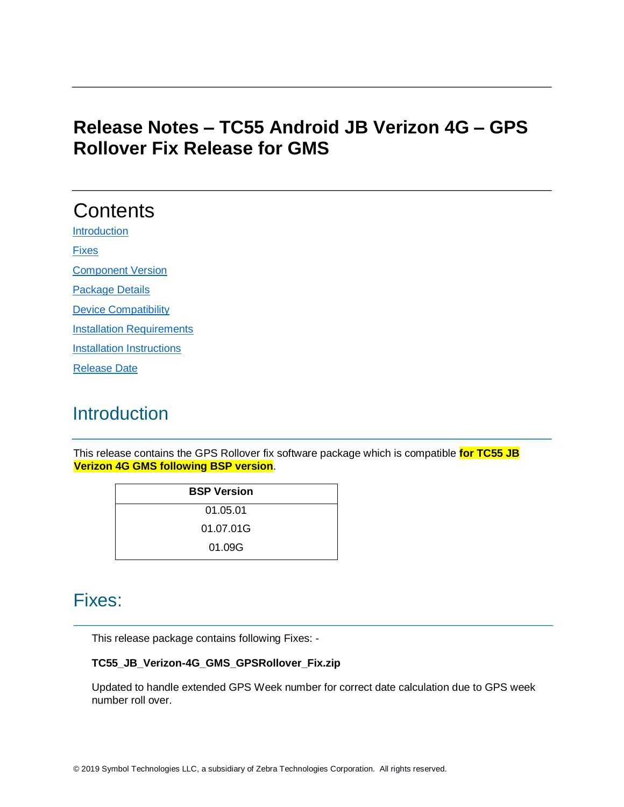### **Release Notes – TC55 Android JB Verizon 4G – GPS Rollover Fix Release for GMS**

# **Contents**

**[Introduction](#page-0-0)** 

[Fixes](#page-0-1)

[Component Version](#page-1-0) 

[Package Details](#page-1-1) 

[Device Compatibility](#page-1-2) 

[Installation Requirements](#page-1-3)

**[Installation Instructions](#page-2-0)** 

[Release Date](#page-2-1)

# <span id="page-0-0"></span>**Introduction**

This release contains the GPS Rollover fix software package which is compatible **for TC55 JB Verizon 4G GMS following BSP version**.

| <b>BSP Version</b> |  |
|--------------------|--|
| 01.05.01           |  |
| 01.07.01G          |  |
| 01.09G             |  |

### <span id="page-0-1"></span>Fixes:

This release package contains following Fixes: -

#### **TC55\_JB\_Verizon-4G\_GMS\_GPSRollover\_Fix.zip**

Updated to handle extended GPS Week number for correct date calculation due to GPS week number roll over.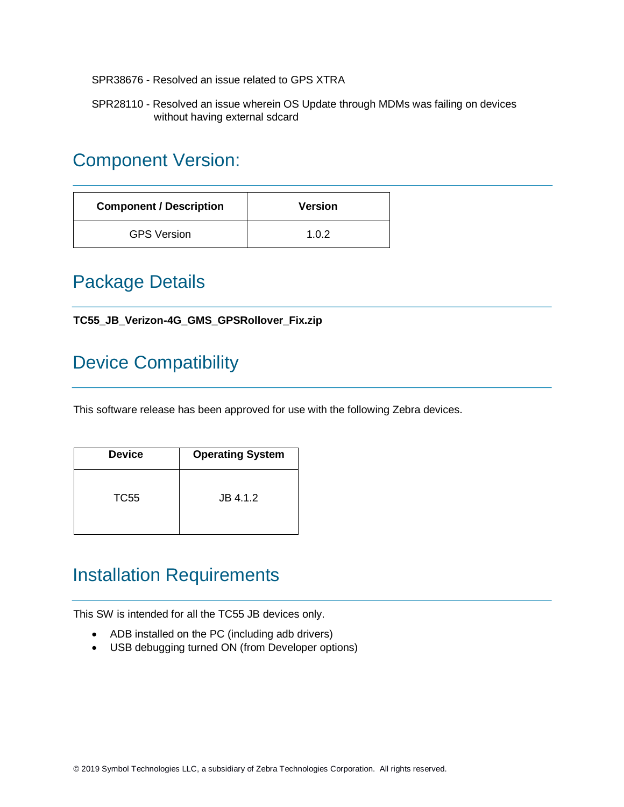SPR38676 - Resolved an issue related to GPS XTRA

SPR28110 - Resolved an issue wherein OS Update through MDMs was failing on devices without having external sdcard

#### <span id="page-1-0"></span>Component Version:

| <b>Component / Description</b> | <b>Version</b> |
|--------------------------------|----------------|
| <b>GPS Version</b>             | 1.0.2          |

### <span id="page-1-1"></span>Package Details

#### **TC55\_JB\_Verizon-4G\_GMS\_GPSRollover\_Fix.zip**

# <span id="page-1-2"></span>Device Compatibility

This software release has been approved for use with the following Zebra devices.

| <b>Device</b> | <b>Operating System</b> |
|---------------|-------------------------|
| TC55          | $JB$ 4.1.2              |

#### <span id="page-1-3"></span>Installation Requirements

This SW is intended for all the TC55 JB devices only.

- ADB installed on the PC (including adb drivers)
- USB debugging turned ON (from Developer options)